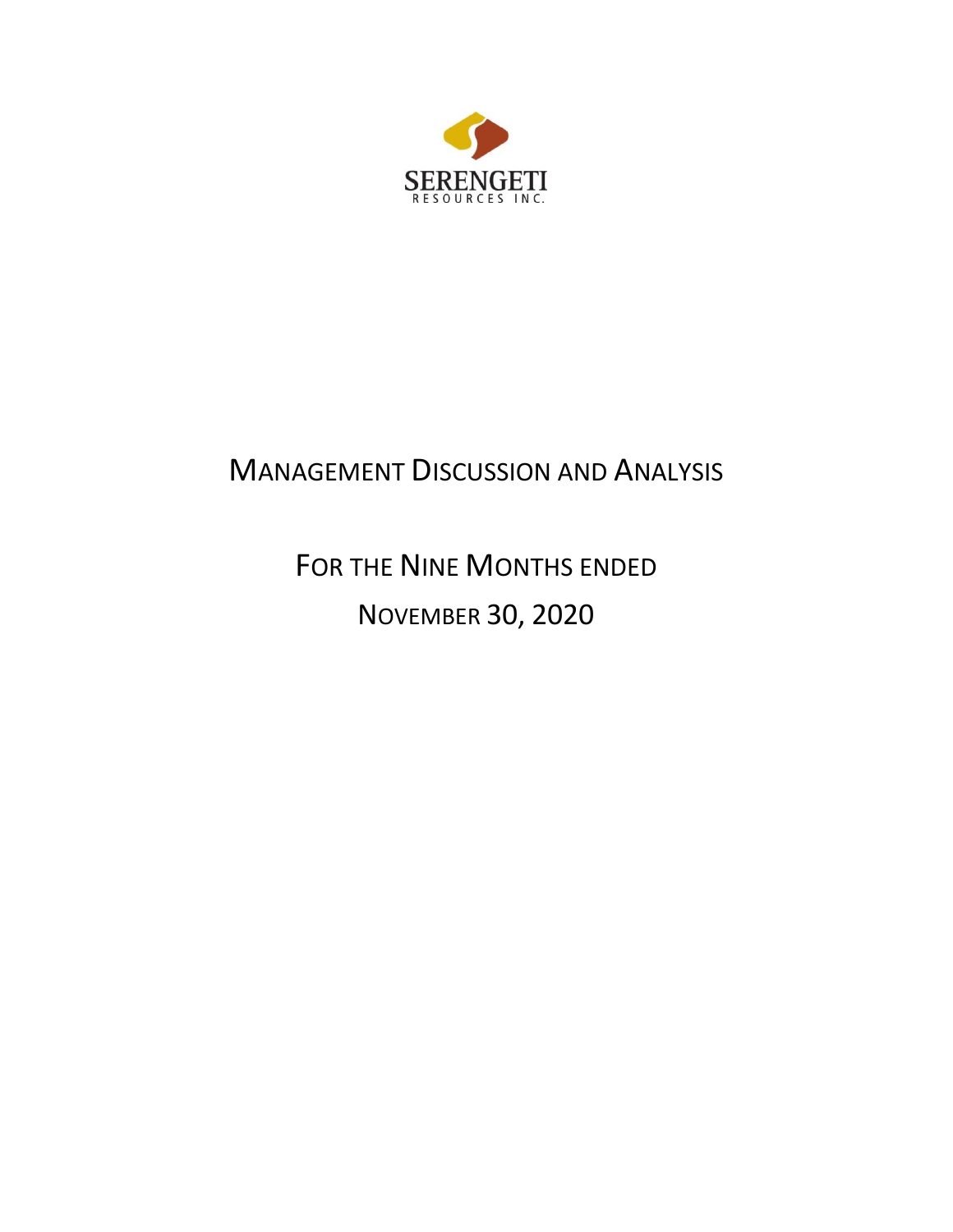

# MANAGEMENT DISCUSSION AND ANALYSIS

FOR THE NINE MONTHS ENDED NOVEMBER 30, 2020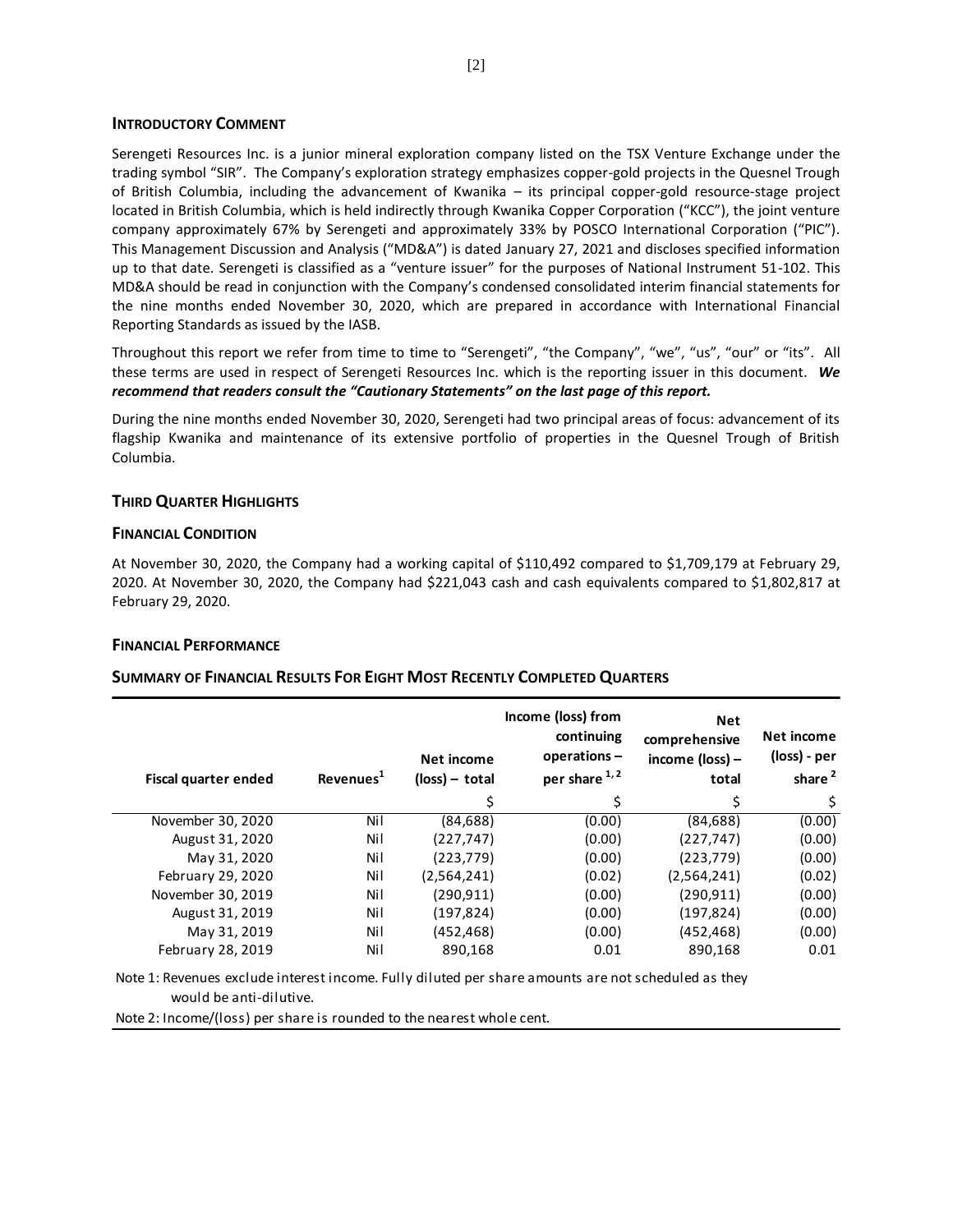#### **INTRODUCTORY COMMENT**

Serengeti Resources Inc. is a junior mineral exploration company listed on the TSX Venture Exchange under the trading symbol "SIR". The Company's exploration strategy emphasizes copper-gold projects in the Quesnel Trough of British Columbia, including the advancement of Kwanika – its principal copper-gold resource-stage project located in British Columbia, which is held indirectly through Kwanika Copper Corporation ("KCC"), the joint venture company approximately 67% by Serengeti and approximately 33% by POSCO International Corporation ("PIC"). This Management Discussion and Analysis ("MD&A") is dated January 27, 2021 and discloses specified information up to that date. Serengeti is classified as a "venture issuer" for the purposes of National Instrument 51-102. This MD&A should be read in conjunction with the Company's condensed consolidated interim financial statements for the nine months ended November 30, 2020, which are prepared in accordance with International Financial Reporting Standards as issued by the IASB.

Throughout this report we refer from time to time to "Serengeti", "the Company", "we", "us", "our" or "its". All these terms are used in respect of Serengeti Resources Inc. which is the reporting issuer in this document. *We recommend that readers consult the "Cautionary Statements" on the last page of this report.*

During the nine months ended November 30, 2020, Serengeti had two principal areas of focus: advancement of its flagship Kwanika and maintenance of its extensive portfolio of properties in the Quesnel Trough of British Columbia.

# **THIRD QUARTER HIGHLIGHTS**

## **FINANCIAL CONDITION**

At November 30, 2020, the Company had a working capital of \$110,492 compared to \$1,709,179 at February 29, 2020. At November 30, 2020, the Company had \$221,043 cash and cash equivalents compared to \$1,802,817 at February 29, 2020.

# **FINANCIAL PERFORMANCE**

# **SUMMARY OF FINANCIAL RESULTS FOR EIGHT MOST RECENTLY COMPLETED QUARTERS**

| Fiscal quarter ended | Revenues <sup>1</sup> | Net income<br>$(\text{loss}) - \text{total}$ | Income (loss) from<br>continuing<br>operations-<br>per share 1,2 | <b>Net</b><br>comprehensive<br>income $(\text{loss})$ –<br>total | Net income<br>(loss) - per<br>share <sup>2</sup> |
|----------------------|-----------------------|----------------------------------------------|------------------------------------------------------------------|------------------------------------------------------------------|--------------------------------------------------|
|                      |                       | \$                                           | Š.                                                               | \$                                                               | \$                                               |
| November 30, 2020    | Nil                   | (84,688)                                     | (0.00)                                                           | (84, 688)                                                        | (0.00)                                           |
| August 31, 2020      | Nil                   | (227, 747)                                   | (0.00)                                                           | (227, 747)                                                       | (0.00)                                           |
| May 31, 2020         | Nil                   | (223, 779)                                   | (0.00)                                                           | (223, 779)                                                       | (0.00)                                           |
| February 29, 2020    | Nil                   | (2,564,241)                                  | (0.02)                                                           | (2,564,241)                                                      | (0.02)                                           |
| November 30, 2019    | Nil                   | (290.911)                                    | (0.00)                                                           | (290.911)                                                        | (0.00)                                           |
| August 31, 2019      | Nil                   | (197, 824)                                   | (0.00)                                                           | (197, 824)                                                       | (0.00)                                           |
| May 31, 2019         | Nil                   | (452, 468)                                   | (0.00)                                                           | (452, 468)                                                       | (0.00)                                           |
| February 28, 2019    | Nil                   | 890,168                                      | 0.01                                                             | 890,168                                                          | 0.01                                             |

Note 1: Revenues exclude interest income. Fully diluted per share amounts are not scheduled as they would be anti-dilutive.

Note 2: Income/(loss) per share is rounded to the nearest whole cent.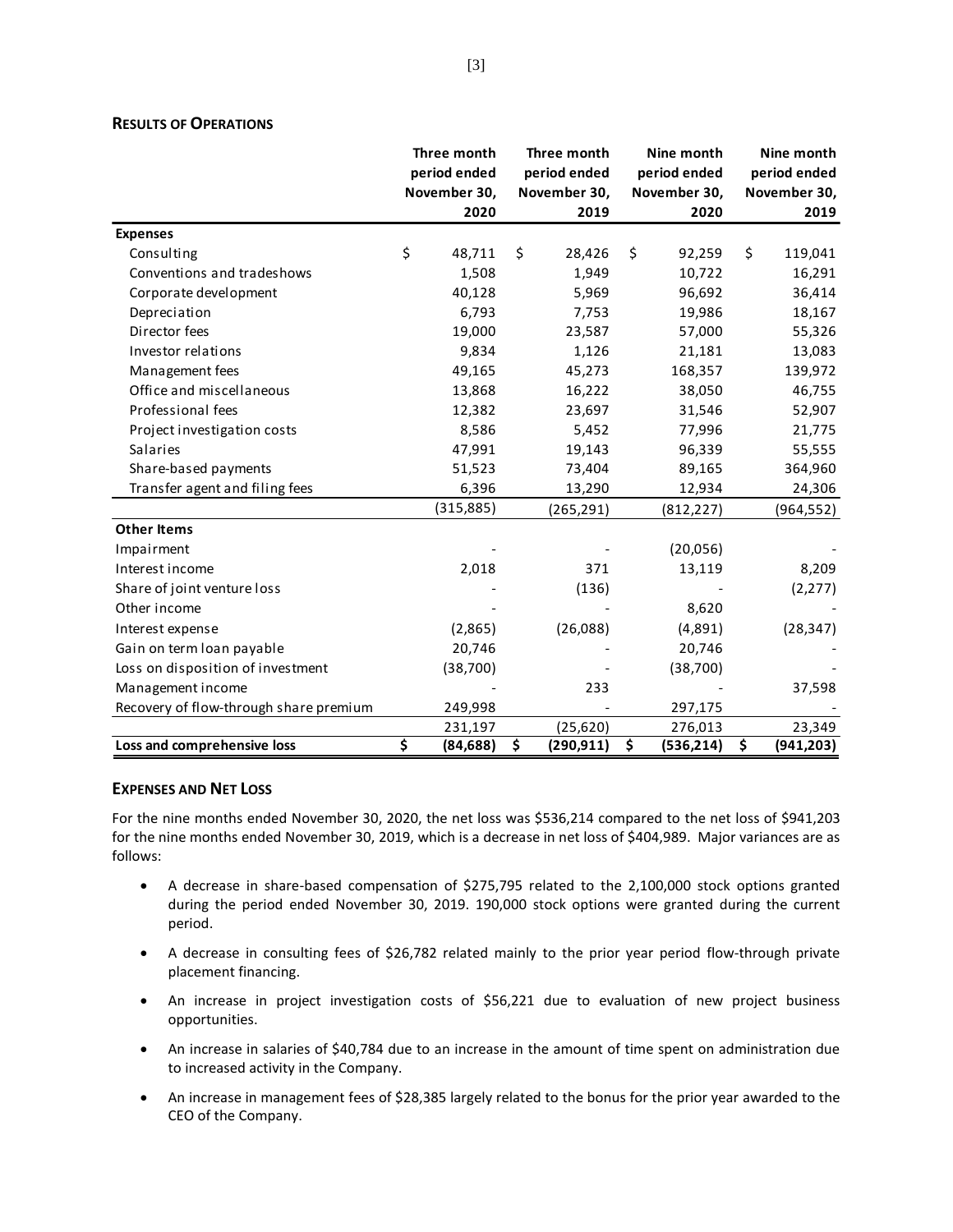### **RESULTS OF OPERATIONS**

|                                        | Three month     | Three month      | Nine month       | Nine month       |
|----------------------------------------|-----------------|------------------|------------------|------------------|
|                                        | period ended    | period ended     | period ended     | period ended     |
|                                        | November 30,    | November 30,     | November 30,     | November 30,     |
|                                        | 2020            | 2019             | 2020             | 2019             |
| <b>Expenses</b>                        |                 |                  |                  |                  |
| Consulting                             | \$<br>48,711    | \$<br>28,426     | \$<br>92,259     | \$<br>119,041    |
| Conventions and tradeshows             | 1,508           | 1,949            | 10,722           | 16,291           |
| Corporate development                  | 40,128          | 5,969            | 96,692           | 36,414           |
| Depreciation                           | 6,793           | 7,753            | 19,986           | 18,167           |
| Director fees                          | 19,000          | 23,587           | 57,000           | 55,326           |
| Investor relations                     | 9,834           | 1,126            | 21,181           | 13,083           |
| Management fees                        | 49,165          | 45,273           | 168,357          | 139,972          |
| Office and miscellaneous               | 13,868          | 16,222           | 38,050           | 46,755           |
| Professional fees                      | 12,382          | 23,697           | 31,546           | 52,907           |
| Project investigation costs            | 8,586           | 5,452            | 77,996           | 21,775           |
| Salaries                               | 47,991          | 19,143           | 96,339           | 55,555           |
| Share-based payments                   | 51,523          | 73,404           | 89,165           | 364,960          |
| Transfer agent and filing fees         | 6,396           | 13,290           | 12,934           | 24,306           |
|                                        | (315, 885)      | (265, 291)       | (812, 227)       | (964, 552)       |
| <b>Other Items</b>                     |                 |                  |                  |                  |
| Impairment                             |                 |                  | (20,056)         |                  |
| Interest income                        | 2,018           | 371              | 13,119           | 8,209            |
| Share of joint venture loss            |                 | (136)            |                  | (2, 277)         |
| Other income                           |                 |                  | 8,620            |                  |
| Interest expense                       | (2,865)         | (26,088)         | (4,891)          | (28, 347)        |
| Gain on term loan payable              | 20,746          |                  | 20,746           |                  |
| Loss on disposition of investment      | (38, 700)       |                  | (38, 700)        |                  |
| Management income                      |                 | 233              |                  | 37,598           |
| Recovery of flow-through share premium | 249,998         |                  | 297,175          |                  |
|                                        | 231,197         | (25, 620)        | 276,013          | 23,349           |
| Loss and comprehensive loss            | \$<br>(84, 688) | \$<br>(290, 911) | \$<br>(536, 214) | \$<br>(941, 203) |

### **EXPENSES AND NET LOSS**

For the nine months ended November 30, 2020, the net loss was \$536,214 compared to the net loss of \$941,203 for the nine months ended November 30, 2019, which is a decrease in net loss of \$404,989. Major variances are as follows:

- A decrease in share-based compensation of \$275,795 related to the 2,100,000 stock options granted during the period ended November 30, 2019. 190,000 stock options were granted during the current period.
- A decrease in consulting fees of \$26,782 related mainly to the prior year period flow-through private placement financing.
- An increase in project investigation costs of \$56,221 due to evaluation of new project business opportunities.
- An increase in salaries of \$40,784 due to an increase in the amount of time spent on administration due to increased activity in the Company.
- An increase in management fees of \$28,385 largely related to the bonus for the prior year awarded to the CEO of the Company.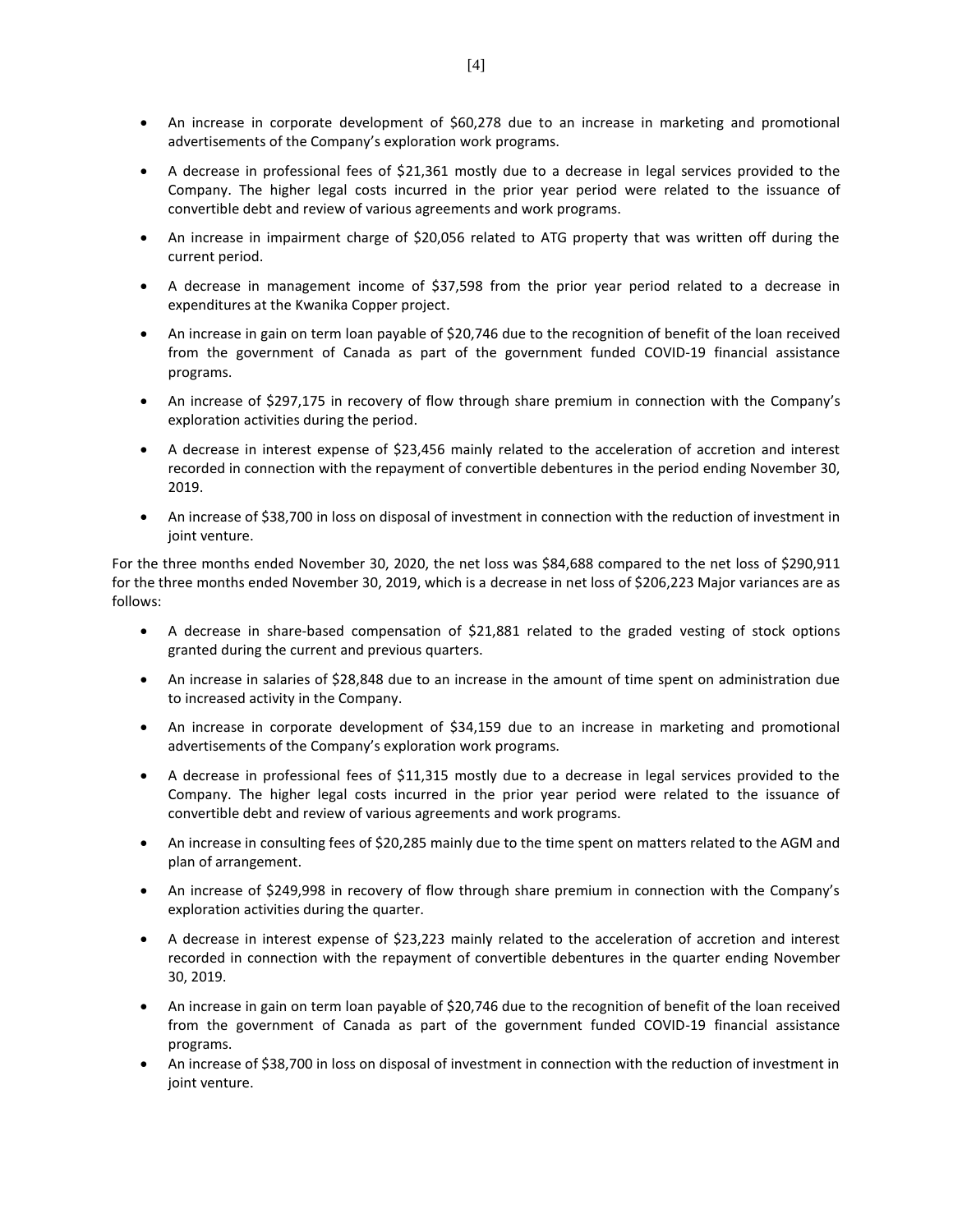- An increase in corporate development of \$60,278 due to an increase in marketing and promotional advertisements of the Company's exploration work programs.
- A decrease in professional fees of \$21,361 mostly due to a decrease in legal services provided to the Company. The higher legal costs incurred in the prior year period were related to the issuance of convertible debt and review of various agreements and work programs.
- An increase in impairment charge of \$20,056 related to ATG property that was written off during the current period.
- A decrease in management income of \$37,598 from the prior year period related to a decrease in expenditures at the Kwanika Copper project.
- An increase in gain on term loan payable of \$20,746 due to the recognition of benefit of the loan received from the government of Canada as part of the government funded COVID-19 financial assistance programs.
- An increase of \$297,175 in recovery of flow through share premium in connection with the Company's exploration activities during the period.
- A decrease in interest expense of \$23,456 mainly related to the acceleration of accretion and interest recorded in connection with the repayment of convertible debentures in the period ending November 30, 2019.
- An increase of \$38,700 in loss on disposal of investment in connection with the reduction of investment in joint venture.

For the three months ended November 30, 2020, the net loss was \$84,688 compared to the net loss of \$290,911 for the three months ended November 30, 2019, which is a decrease in net loss of \$206,223 Major variances are as follows:

- A decrease in share-based compensation of \$21,881 related to the graded vesting of stock options granted during the current and previous quarters.
- An increase in salaries of \$28,848 due to an increase in the amount of time spent on administration due to increased activity in the Company.
- An increase in corporate development of \$34,159 due to an increase in marketing and promotional advertisements of the Company's exploration work programs.
- A decrease in professional fees of \$11,315 mostly due to a decrease in legal services provided to the Company. The higher legal costs incurred in the prior year period were related to the issuance of convertible debt and review of various agreements and work programs.
- An increase in consulting fees of \$20,285 mainly due to the time spent on matters related to the AGM and plan of arrangement.
- An increase of \$249,998 in recovery of flow through share premium in connection with the Company's exploration activities during the quarter.
- A decrease in interest expense of \$23,223 mainly related to the acceleration of accretion and interest recorded in connection with the repayment of convertible debentures in the quarter ending November 30, 2019.
- An increase in gain on term loan payable of \$20,746 due to the recognition of benefit of the loan received from the government of Canada as part of the government funded COVID-19 financial assistance programs.
- An increase of \$38,700 in loss on disposal of investment in connection with the reduction of investment in joint venture.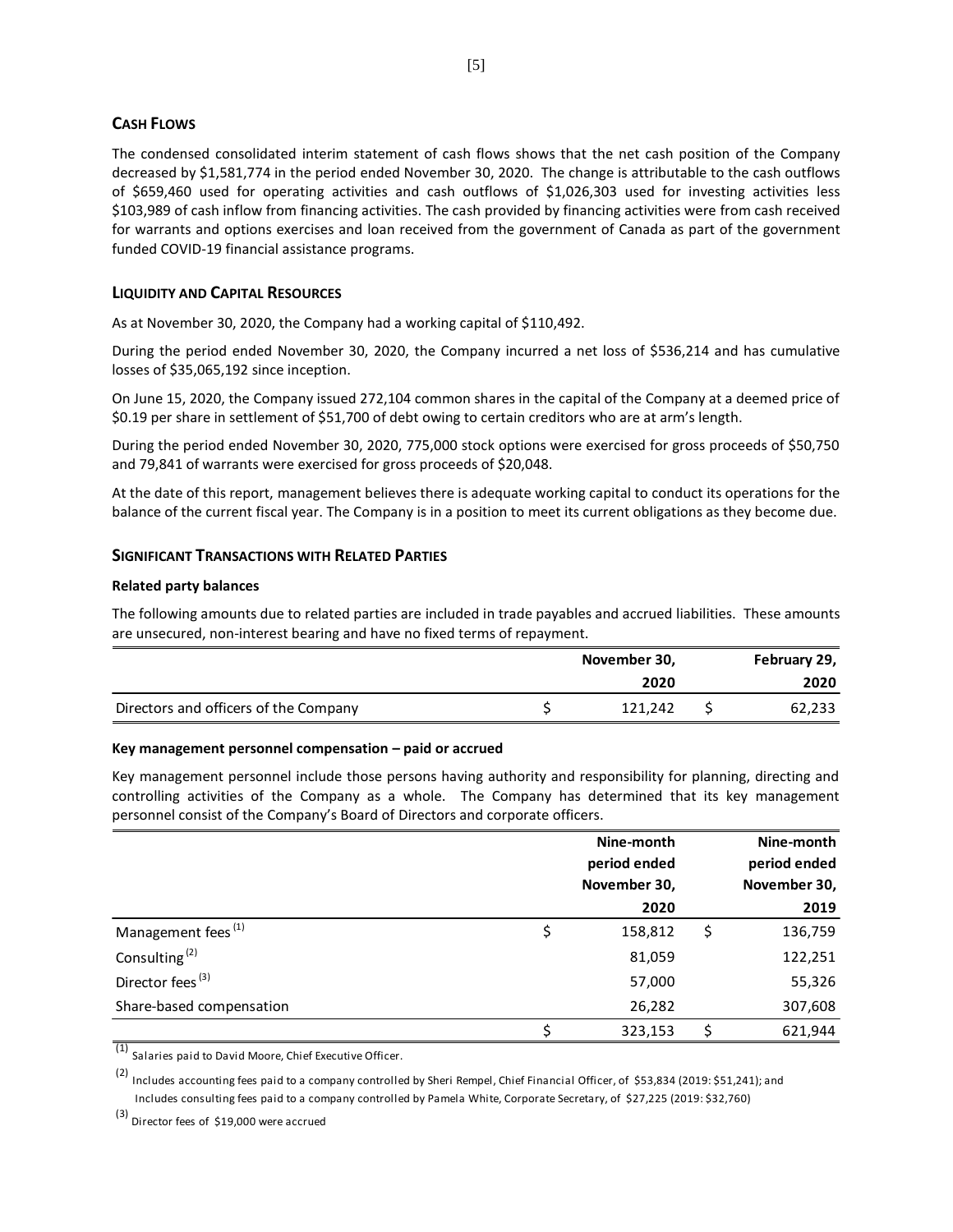## **CASH FLOWS**

The condensed consolidated interim statement of cash flows shows that the net cash position of the Company decreased by \$1,581,774 in the period ended November 30, 2020. The change is attributable to the cash outflows of \$659,460 used for operating activities and cash outflows of \$1,026,303 used for investing activities less \$103,989 of cash inflow from financing activities. The cash provided by financing activities were from cash received for warrants and options exercises and loan received from the government of Canada as part of the government funded COVID-19 financial assistance programs.

## **LIQUIDITY AND CAPITAL RESOURCES**

As at November 30, 2020, the Company had a working capital of \$110,492.

During the period ended November 30, 2020, the Company incurred a net loss of \$536,214 and has cumulative losses of \$35,065,192 since inception.

On June 15, 2020, the Company issued 272,104 common shares in the capital of the Company at a deemed price of \$0.19 per share in settlement of \$51,700 of debt owing to certain creditors who are at arm's length.

During the period ended November 30, 2020, 775,000 stock options were exercised for gross proceeds of \$50,750 and 79,841 of warrants were exercised for gross proceeds of \$20,048.

At the date of this report, management believes there is adequate working capital to conduct its operations for the balance of the current fiscal year. The Company is in a position to meet its current obligations as they become due.

#### **SIGNIFICANT TRANSACTIONS WITH RELATED PARTIES**

#### **Related party balances**

The following amounts due to related parties are included in trade payables and accrued liabilities. These amounts are unsecured, non-interest bearing and have no fixed terms of repayment. `

|                                       | November 30, | February 29, |
|---------------------------------------|--------------|--------------|
|                                       | 2020         | 2020         |
| Directors and officers of the Company | 121.242      | 62,233       |

#### **Key management personnel compensation – paid or accrued**

Key management personnel include those persons having authority and responsibility for planning, directing and controlling activities of the Company as a whole. The Company has determined that its key management personnel consist of the Company's Board of Directors and corporate officers.

|                                | Nine-month    | Nine-month   |
|--------------------------------|---------------|--------------|
|                                | period ended  | period ended |
|                                | November 30,  | November 30, |
|                                | 2020          | 2019         |
| Management fees <sup>(1)</sup> | \$<br>158,812 | 136,759      |
| Consulting <sup>(2)</sup>      | 81,059        | 122,251      |
| Director fees <sup>(3)</sup>   | 57,000        | 55,326       |
| Share-based compensation       | 26,282        | 307,608      |
|                                | 323,153       | 621,944      |

(1) Salaries paid to David Moore, Chief Executive Officer.

(2) Includes accounting fees paid to a company controlled by Sheri Rempel, Chief Financial Officer, of \$53,834 (2019: \$51,241); and Includes consulting fees paid to a company controlled by Pamela White, Corporate Secretary, of \$27,225 (2019: \$32,760)

(3) Director fees of \$19,000 were accrued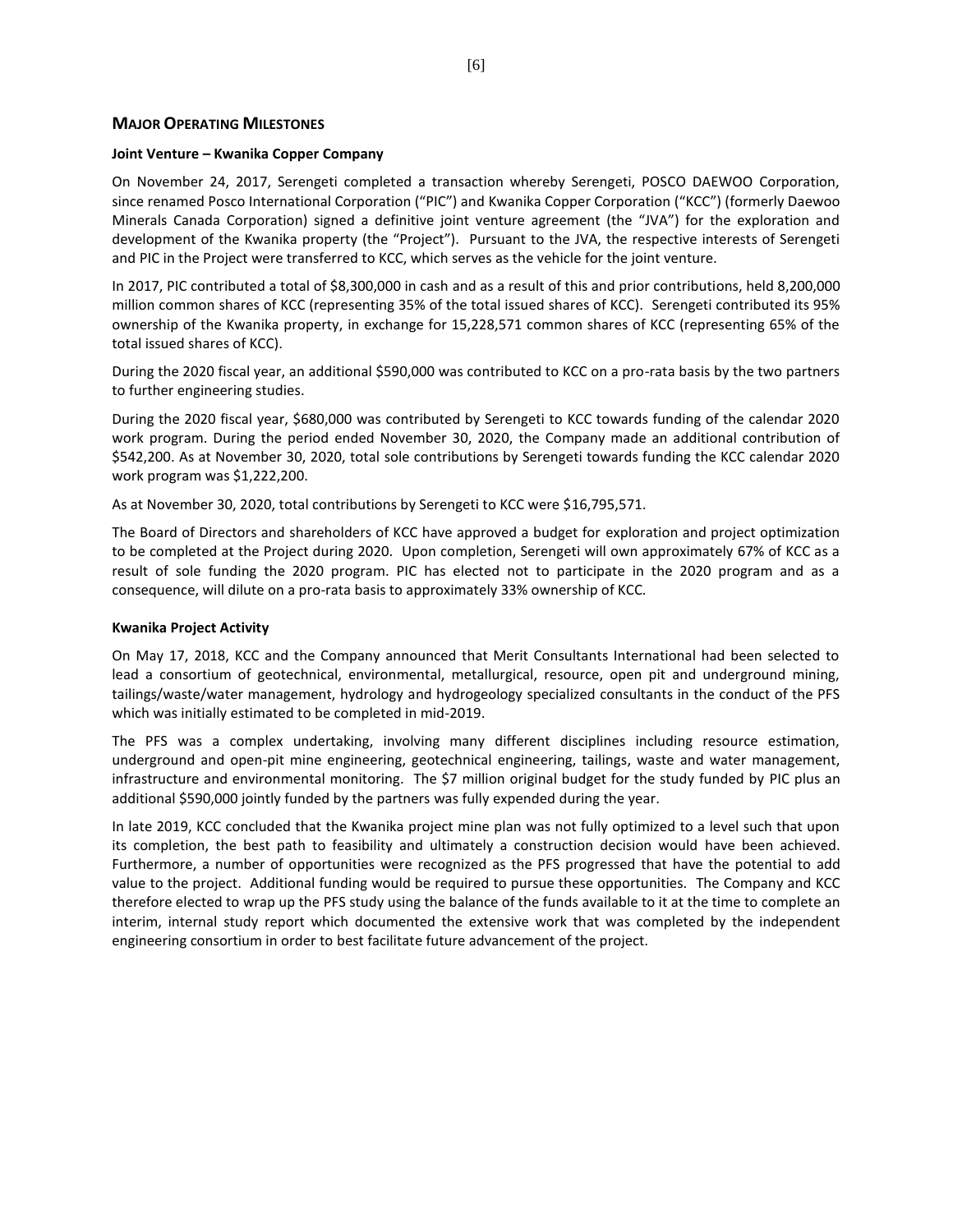#### **MAJOR OPERATING MILESTONES**

#### **Joint Venture – Kwanika Copper Company**

On November 24, 2017, Serengeti completed a transaction whereby Serengeti, POSCO DAEWOO Corporation, since renamed Posco International Corporation ("PIC") and Kwanika Copper Corporation ("KCC") (formerly Daewoo Minerals Canada Corporation) signed a definitive joint venture agreement (the "JVA") for the exploration and development of the Kwanika property (the "Project"). Pursuant to the JVA, the respective interests of Serengeti and PIC in the Project were transferred to KCC, which serves as the vehicle for the joint venture.

In 2017, PIC contributed a total of \$8,300,000 in cash and as a result of this and prior contributions, held 8,200,000 million common shares of KCC (representing 35% of the total issued shares of KCC). Serengeti contributed its 95% ownership of the Kwanika property, in exchange for 15,228,571 common shares of KCC (representing 65% of the total issued shares of KCC).

During the 2020 fiscal year, an additional \$590,000 was contributed to KCC on a pro-rata basis by the two partners to further engineering studies.

During the 2020 fiscal year, \$680,000 was contributed by Serengeti to KCC towards funding of the calendar 2020 work program. During the period ended November 30, 2020, the Company made an additional contribution of \$542,200. As at November 30, 2020, total sole contributions by Serengeti towards funding the KCC calendar 2020 work program was \$1,222,200.

As at November 30, 2020, total contributions by Serengeti to KCC were \$16,795,571.

The Board of Directors and shareholders of KCC have approved a budget for exploration and project optimization to be completed at the Project during 2020. Upon completion, Serengeti will own approximately 67% of KCC as a result of sole funding the 2020 program. PIC has elected not to participate in the 2020 program and as a consequence, will dilute on a pro-rata basis to approximately 33% ownership of KCC.

#### **Kwanika Project Activity**

On May 17, 2018, KCC and the Company announced that Merit Consultants International had been selected to lead a consortium of geotechnical, environmental, metallurgical, resource, open pit and underground mining, tailings/waste/water management, hydrology and hydrogeology specialized consultants in the conduct of the PFS which was initially estimated to be completed in mid-2019.

The PFS was a complex undertaking, involving many different disciplines including resource estimation, underground and open-pit mine engineering, geotechnical engineering, tailings, waste and water management, infrastructure and environmental monitoring. The \$7 million original budget for the study funded by PIC plus an additional \$590,000 jointly funded by the partners was fully expended during the year.

In late 2019, KCC concluded that the Kwanika project mine plan was not fully optimized to a level such that upon its completion, the best path to feasibility and ultimately a construction decision would have been achieved. Furthermore, a number of opportunities were recognized as the PFS progressed that have the potential to add value to the project. Additional funding would be required to pursue these opportunities. The Company and KCC therefore elected to wrap up the PFS study using the balance of the funds available to it at the time to complete an interim, internal study report which documented the extensive work that was completed by the independent engineering consortium in order to best facilitate future advancement of the project.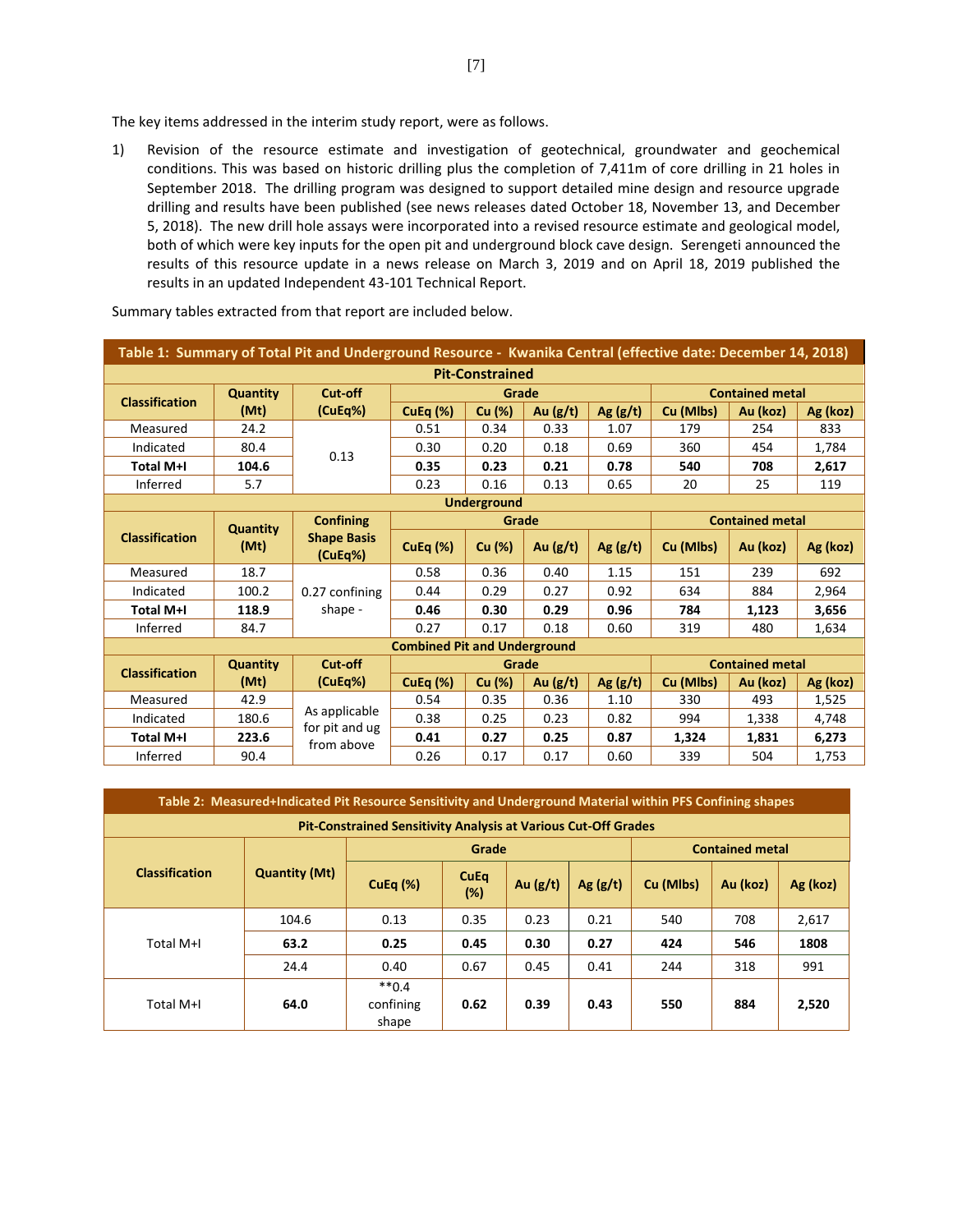The key items addressed in the interim study report, were as follows.

1) Revision of the resource estimate and investigation of geotechnical, groundwater and geochemical conditions. This was based on historic drilling plus the completion of 7,411m of core drilling in 21 holes in September 2018. The drilling program was designed to support detailed mine design and resource upgrade drilling and results have been published (see news releases dated October 18, November 13, and December 5, 2018). The new drill hole assays were incorporated into a revised resource estimate and geological model, both of which were key inputs for the open pit and underground block cave design. Serengeti announced the results of this resource update in a news release on March 3, 2019 and on April 18, 2019 published the results in an updated Independent 43-101 Technical Report.

|                       |                 | Table 1: Summary of Total Pit and Underground Resource - Kwanika Central (effective date: December 14, 2018) |                                     |                        |            |            |                        |                        |          |
|-----------------------|-----------------|--------------------------------------------------------------------------------------------------------------|-------------------------------------|------------------------|------------|------------|------------------------|------------------------|----------|
|                       |                 |                                                                                                              |                                     | <b>Pit-Constrained</b> |            |            |                        |                        |          |
| <b>Classification</b> | <b>Quantity</b> | Cut-off                                                                                                      |                                     | Grade                  |            |            | <b>Contained metal</b> |                        |          |
|                       | (Mt)            | (CuEq%)                                                                                                      | CuEq $(\%)$                         | Cu (%)                 | Au $(g/t)$ | Ag $(g/t)$ | Cu (Mlbs)              | Au (koz)               | Ag (koz) |
| Measured              | 24.2            |                                                                                                              | 0.51                                | 0.34                   | 0.33       | 1.07       | 179                    | 254                    | 833      |
| Indicated             | 80.4            | 0.13                                                                                                         | 0.30                                | 0.20                   | 0.18       | 0.69       | 360                    | 454                    | 1,784    |
| <b>Total M+I</b>      | 104.6           |                                                                                                              | 0.35                                | 0.23                   | 0.21       | 0.78       | 540                    | 708                    | 2,617    |
| Inferred              | 5.7             |                                                                                                              | 0.23                                | 0.16                   | 0.13       | 0.65       | 20                     | 25                     | 119      |
|                       |                 |                                                                                                              |                                     | <b>Underground</b>     |            |            |                        |                        |          |
|                       | <b>Quantity</b> | <b>Confining</b>                                                                                             | <b>Contained metal</b><br>Grade     |                        |            |            |                        |                        |          |
| <b>Classification</b> | (Mt)            | <b>Shape Basis</b><br>(CuEq%)                                                                                | CuEq $(\%)$                         | Cu (%)                 | Au $(g/t)$ | Ag(g/t)    | Cu (Mlbs)              | Au (koz)               | Ag (koz) |
| Measured              | 18.7            |                                                                                                              | 0.58                                | 0.36                   | 0.40       | 1.15       | 151                    | 239                    | 692      |
| Indicated             | 100.2           | 0.27 confining                                                                                               | 0.44                                | 0.29                   | 0.27       | 0.92       | 634                    | 884                    | 2,964    |
| <b>Total M+I</b>      | 118.9           | shape -                                                                                                      | 0.46                                | 0.30                   | 0.29       | 0.96       | 784                    | 1,123                  | 3,656    |
| Inferred              | 84.7            |                                                                                                              | 0.27                                | 0.17                   | 0.18       | 0.60       | 319                    | 480                    | 1,634    |
|                       |                 |                                                                                                              | <b>Combined Pit and Underground</b> |                        |            |            |                        |                        |          |
| <b>Classification</b> | <b>Quantity</b> | Cut-off                                                                                                      |                                     | Grade                  |            |            |                        | <b>Contained metal</b> |          |
|                       | (Mt)            | (CuEq%)                                                                                                      | CuEq $(\%)$                         | Cu (%)                 | Au $(g/t)$ | Ag $(g/t)$ | Cu (Mlbs)              | Au (koz)               | Ag (koz) |
| Measured              | 42.9            |                                                                                                              | 0.54                                | 0.35                   | 0.36       | 1.10       | 330                    | 493                    | 1,525    |
| Indicated             | 180.6           | As applicable<br>for pit and ug                                                                              | 0.38                                | 0.25                   | 0.23       | 0.82       | 994                    | 1,338                  | 4,748    |
| <b>Total M+I</b>      | 223.6           | from above                                                                                                   | 0.41                                | 0.27                   | 0.25       | 0.87       | 1,324                  | 1,831                  | 6,273    |
| Inferred              | 90.4            |                                                                                                              | 0.26                                | 0.17                   | 0.17       | 0.60       | 339                    | 504                    | 1.753    |

Summary tables extracted from that report are included below.

|                       | Table 2: Measured+Indicated Pit Resource Sensitivity and Underground Material within PFS Confining shapes |                                                                       |                    |            |            |           |                        |          |  |  |
|-----------------------|-----------------------------------------------------------------------------------------------------------|-----------------------------------------------------------------------|--------------------|------------|------------|-----------|------------------------|----------|--|--|
|                       |                                                                                                           | <b>Pit-Constrained Sensitivity Analysis at Various Cut-Off Grades</b> |                    |            |            |           |                        |          |  |  |
|                       |                                                                                                           |                                                                       | Grade              |            |            |           | <b>Contained metal</b> |          |  |  |
| <b>Classification</b> | <b>Quantity (Mt)</b>                                                                                      | CuEq $(\%)$                                                           | <b>CuEq</b><br>(%) | Au $(g/t)$ | Ag $(g/t)$ | Cu (Mlbs) | Au (koz)               | Ag (koz) |  |  |
|                       | 104.6                                                                                                     | 0.13                                                                  | 0.35               | 0.23       | 0.21       | 540       | 708                    | 2,617    |  |  |
| Total M+I             | 63.2                                                                                                      | 0.25                                                                  | 0.45               | 0.30       | 0.27       | 424       | 546                    | 1808     |  |  |
|                       | 24.4                                                                                                      | 0.40                                                                  | 0.67               | 0.45       | 0.41       | 244       | 318                    | 991      |  |  |
| Total M+I             | 64.0                                                                                                      | $**0.4$<br>confining<br>shape                                         | 0.62               | 0.39       | 0.43       | 550       | 884                    | 2,520    |  |  |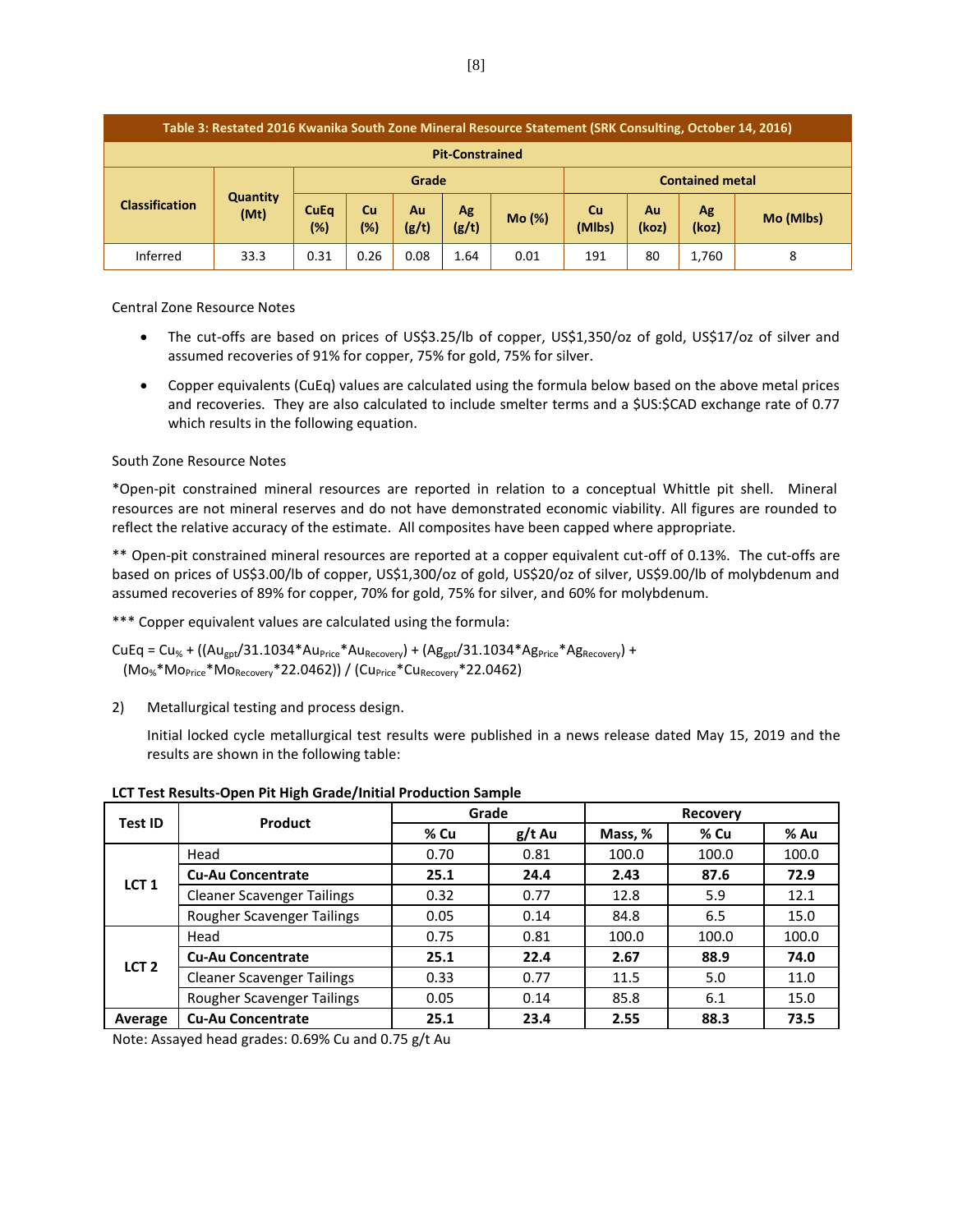|                       | Table 3: Restated 2016 Kwanika South Zone Mineral Resource Statement (SRK Consulting, October 14, 2016) |                    |                                                                                         |      |             |                        |     |    |       |   |
|-----------------------|---------------------------------------------------------------------------------------------------------|--------------------|-----------------------------------------------------------------------------------------|------|-------------|------------------------|-----|----|-------|---|
|                       | <b>Pit-Constrained</b>                                                                                  |                    |                                                                                         |      |             |                        |     |    |       |   |
|                       |                                                                                                         | Grade              |                                                                                         |      |             | <b>Contained metal</b> |     |    |       |   |
| <b>Classification</b> | <b>Quantity</b><br>(Mt)                                                                                 | <b>CuEq</b><br>(%) | <b>Cu</b><br>Cu<br>Ag<br>Au<br>Au<br>Mo (%)<br>(%)<br>(g/t)<br>(Mlbs)<br>(g/t)<br>(koz) |      | Ag<br>(koz) | Mo (Mlbs)              |     |    |       |   |
| Inferred              | 33.3                                                                                                    | 0.31               | 0.26                                                                                    | 0.08 | 1.64        | 0.01                   | 191 | 80 | 1,760 | 8 |

Central Zone Resource Notes

- The cut-offs are based on prices of US\$3.25/lb of copper, US\$1,350/oz of gold, US\$17/oz of silver and assumed recoveries of 91% for copper, 75% for gold, 75% for silver.
- Copper equivalents (CuEq) values are calculated using the formula below based on the above metal prices and recoveries. They are also calculated to include smelter terms and a \$US:\$CAD exchange rate of 0.77 which results in the following equation.

## South Zone Resource Notes

\*Open-pit constrained mineral resources are reported in relation to a conceptual Whittle pit shell. Mineral resources are not mineral reserves and do not have demonstrated economic viability. All figures are rounded to reflect the relative accuracy of the estimate. All composites have been capped where appropriate.

\*\* Open-pit constrained mineral resources are reported at a copper equivalent cut-off of 0.13%. The cut-offs are based on prices of US\$3.00/lb of copper, US\$1,300/oz of gold, US\$20/oz of silver, US\$9.00/lb of molybdenum and assumed recoveries of 89% for copper, 70% for gold, 75% for silver, and 60% for molybdenum.

\*\*\* Copper equivalent values are calculated using the formula:

 $CUEq = Cu_{%} + ((Au_{got}/31.1034*Au_{Price}*Au_{Recovery}) + (Ag_{got}/31.1034*Ag_{Price}*Ag_{Recovery}) +$  $(Mo<sub>%</sub>*Mo<sub>Price</sub>*Mo<sub>Recovery</sub>*22.0462)$  /  $(Cu<sub>Price</sub>*Cu<sub>Recovery</sub>*22.0462)$ 

2) Metallurgical testing and process design.

Initial locked cycle metallurgical test results were published in a news release dated May 15, 2019 and the results are shown in the following table:

| Test ID          | Product                           |      | Grade    |         | <b>Recovery</b> |       |
|------------------|-----------------------------------|------|----------|---------|-----------------|-------|
|                  |                                   | % Cu | $g/t$ Au | Mass, % | % Cu            | % Au  |
|                  | Head                              | 0.70 | 0.81     | 100.0   | 100.0           | 100.0 |
| LCT <sub>1</sub> | <b>Cu-Au Concentrate</b>          | 25.1 | 24.4     | 2.43    | 87.6            | 72.9  |
|                  | <b>Cleaner Scavenger Tailings</b> | 0.32 | 0.77     | 12.8    | 5.9             | 12.1  |
|                  | Rougher Scavenger Tailings        | 0.05 | 0.14     | 84.8    | 6.5             | 15.0  |
|                  | Head                              | 0.75 | 0.81     | 100.0   | 100.0           | 100.0 |
| LCT <sub>2</sub> | <b>Cu-Au Concentrate</b>          | 25.1 | 22.4     | 2.67    | 88.9            | 74.0  |
|                  | <b>Cleaner Scavenger Tailings</b> | 0.33 | 0.77     | 11.5    | 5.0             | 11.0  |
|                  | Rougher Scavenger Tailings        | 0.05 | 0.14     | 85.8    | 6.1             | 15.0  |
| Average          | <b>Cu-Au Concentrate</b>          | 25.1 | 23.4     | 2.55    | 88.3            | 73.5  |

**LCT Test Results-Open Pit High Grade/Initial Production Sample**

Note: Assayed head grades: 0.69% Cu and 0.75 g/t Au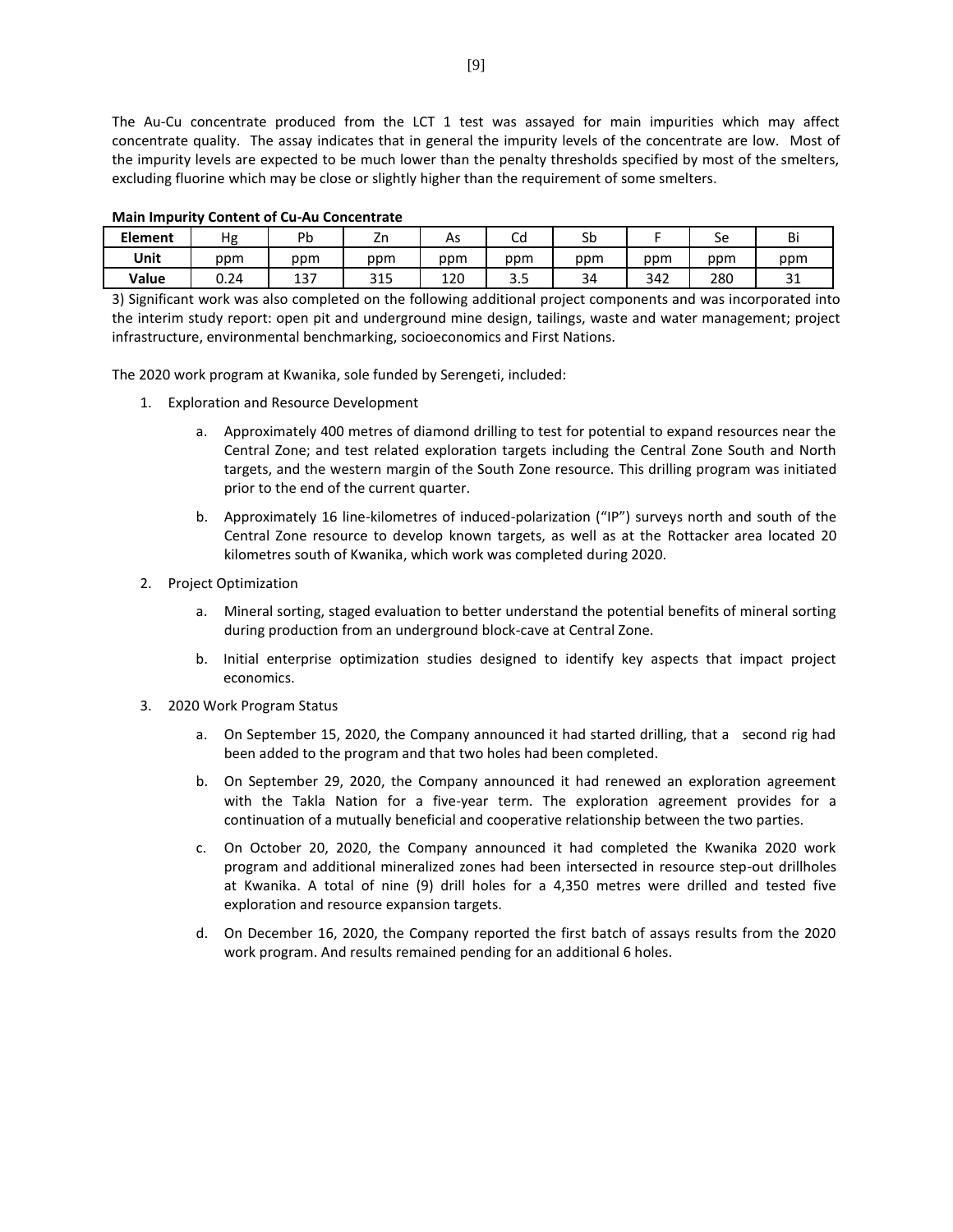The Au-Cu concentrate produced from the LCT 1 test was assayed for main impurities which may affect concentrate quality. The assay indicates that in general the impurity levels of the concentrate are low. Most of the impurity levels are expected to be much lower than the penalty thresholds specified by most of the smelters, excluding fluorine which may be close or slightly higher than the requirement of some smelters.

| <b>Element</b> | Hg   | Pb         | -<br>4H      | AS  | ∽<br>Uυ  | Sb  |     | Sе  | Bi            |
|----------------|------|------------|--------------|-----|----------|-----|-----|-----|---------------|
| Unit           | ppm  | ppm        | ppm          | ppm | ppm      | ppm | ppm | ppm | ppm           |
| Value          | 0.24 | 127<br>ى ج | つイロ<br>ر 1 د | 120 | -<br>ر.ر | 34  | 342 | 280 | $\sim$<br>∸ ب |

#### **Main Impurity Content of Cu-Au Concentrate**

3) Significant work was also completed on the following additional project components and was incorporated into the interim study report: open pit and underground mine design, tailings, waste and water management; project infrastructure, environmental benchmarking, socioeconomics and First Nations.

The 2020 work program at Kwanika, sole funded by Serengeti, included:

- 1. Exploration and Resource Development
	- a. Approximately 400 metres of diamond drilling to test for potential to expand resources near the Central Zone; and test related exploration targets including the Central Zone South and North targets, and the western margin of the South Zone resource. This drilling program was initiated prior to the end of the current quarter.
	- b. Approximately 16 line-kilometres of induced-polarization ("IP") surveys north and south of the Central Zone resource to develop known targets, as well as at the Rottacker area located 20 kilometres south of Kwanika, which work was completed during 2020.
- 2. Project Optimization
	- a. Mineral sorting, staged evaluation to better understand the potential benefits of mineral sorting during production from an underground block-cave at Central Zone.
	- b. Initial enterprise optimization studies designed to identify key aspects that impact project economics.
- 3. 2020 Work Program Status
	- a. On September 15, 2020, the Company announced it had started drilling, that a second rig had been added to the program and that two holes had been completed.
	- b. On September 29, 2020, the Company announced it had renewed an exploration agreement with the Takla Nation for a five-year term. The exploration agreement provides for a continuation of a mutually beneficial and cooperative relationship between the two parties.
	- c. On October 20, 2020, the Company announced it had completed the Kwanika 2020 work program and additional mineralized zones had been intersected in resource step-out drillholes at Kwanika. A total of nine (9) drill holes for a 4,350 metres were drilled and tested five exploration and resource expansion targets.
	- d. On December 16, 2020, the Company reported the first batch of assays results from the 2020 work program. And results remained pending for an additional 6 holes.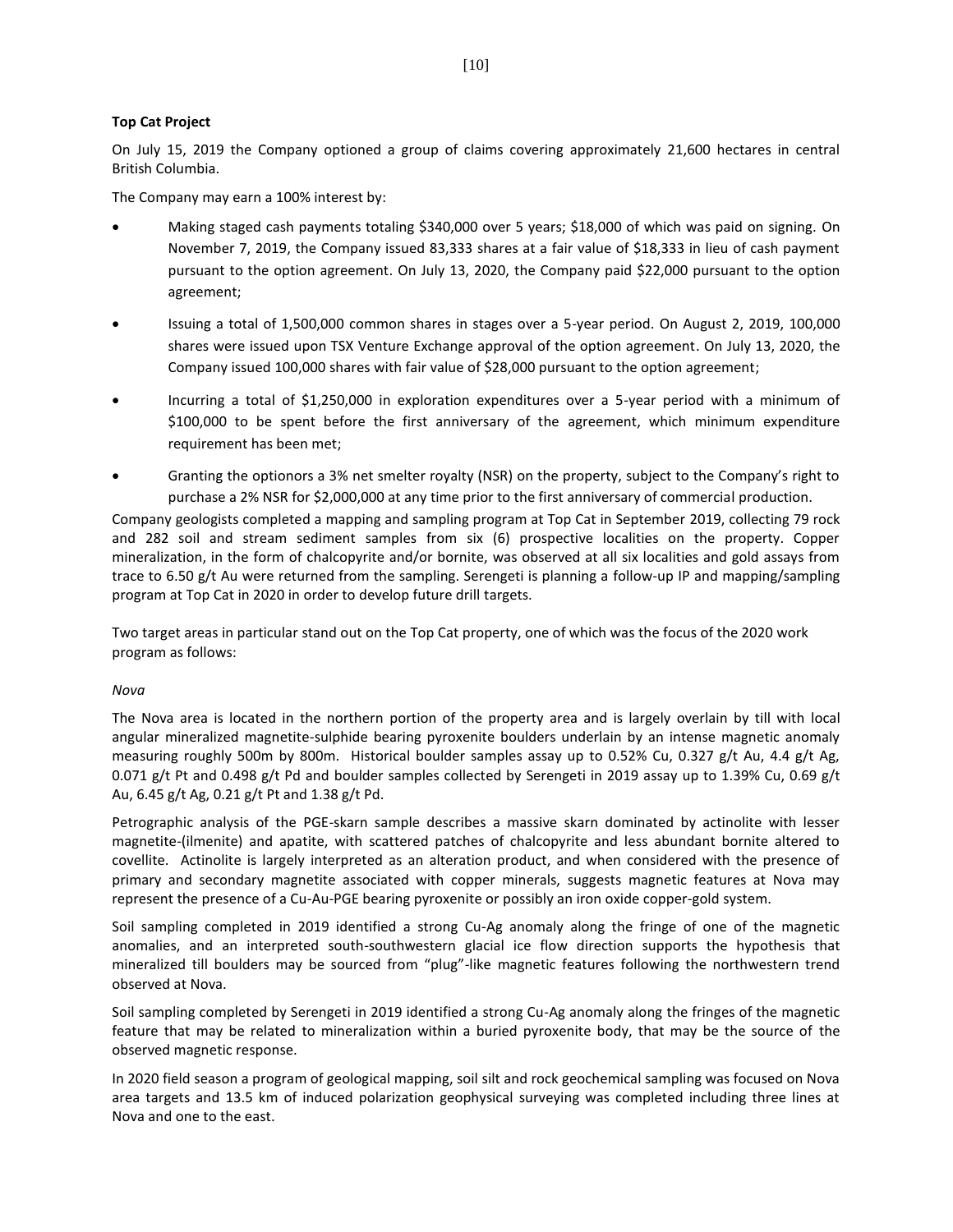#### **Top Cat Project**

On July 15, 2019 the Company optioned a group of claims covering approximately 21,600 hectares in central British Columbia.

The Company may earn a 100% interest by:

- Making staged cash payments totaling \$340,000 over 5 years; \$18,000 of which was paid on signing. On November 7, 2019, the Company issued 83,333 shares at a fair value of \$18,333 in lieu of cash payment pursuant to the option agreement. On July 13, 2020, the Company paid \$22,000 pursuant to the option agreement;
- Issuing a total of 1,500,000 common shares in stages over a 5-year period. On August 2, 2019, 100,000 shares were issued upon TSX Venture Exchange approval of the option agreement. On July 13, 2020, the Company issued 100,000 shares with fair value of \$28,000 pursuant to the option agreement;
- Incurring a total of \$1,250,000 in exploration expenditures over a 5-year period with a minimum of \$100,000 to be spent before the first anniversary of the agreement, which minimum expenditure requirement has been met;
- Granting the optionors a 3% net smelter royalty (NSR) on the property, subject to the Company's right to purchase a 2% NSR for \$2,000,000 at any time prior to the first anniversary of commercial production.

Company geologists completed a mapping and sampling program at Top Cat in September 2019, collecting 79 rock and 282 soil and stream sediment samples from six (6) prospective localities on the property. Copper mineralization, in the form of chalcopyrite and/or bornite, was observed at all six localities and gold assays from trace to 6.50 g/t Au were returned from the sampling. Serengeti is planning a follow-up IP and mapping/sampling program at Top Cat in 2020 in order to develop future drill targets.

Two target areas in particular stand out on the Top Cat property, one of which was the focus of the 2020 work program as follows:

#### *Nova*

The Nova area is located in the northern portion of the property area and is largely overlain by till with local angular mineralized magnetite-sulphide bearing pyroxenite boulders underlain by an intense magnetic anomaly measuring roughly 500m by 800m. Historical boulder samples assay up to 0.52% Cu, 0.327 g/t Au, 4.4 g/t Ag, 0.071 g/t Pt and 0.498 g/t Pd and boulder samples collected by Serengeti in 2019 assay up to 1.39% Cu, 0.69 g/t Au, 6.45 g/t Ag, 0.21 g/t Pt and 1.38 g/t Pd.

Petrographic analysis of the PGE-skarn sample describes a massive skarn dominated by actinolite with lesser magnetite-(ilmenite) and apatite, with scattered patches of chalcopyrite and less abundant bornite altered to covellite. Actinolite is largely interpreted as an alteration product, and when considered with the presence of primary and secondary magnetite associated with copper minerals, suggests magnetic features at Nova may represent the presence of a Cu-Au-PGE bearing pyroxenite or possibly an iron oxide copper-gold system.

Soil sampling completed in 2019 identified a strong Cu-Ag anomaly along the fringe of one of the magnetic anomalies, and an interpreted south-southwestern glacial ice flow direction supports the hypothesis that mineralized till boulders may be sourced from "plug"-like magnetic features following the northwestern trend observed at Nova.

Soil sampling completed by Serengeti in 2019 identified a strong Cu-Ag anomaly along the fringes of the magnetic feature that may be related to mineralization within a buried pyroxenite body, that may be the source of the observed magnetic response.

In 2020 field season a program of geological mapping, soil silt and rock geochemical sampling was focused on Nova area targets and 13.5 km of induced polarization geophysical surveying was completed including three lines at Nova and one to the east.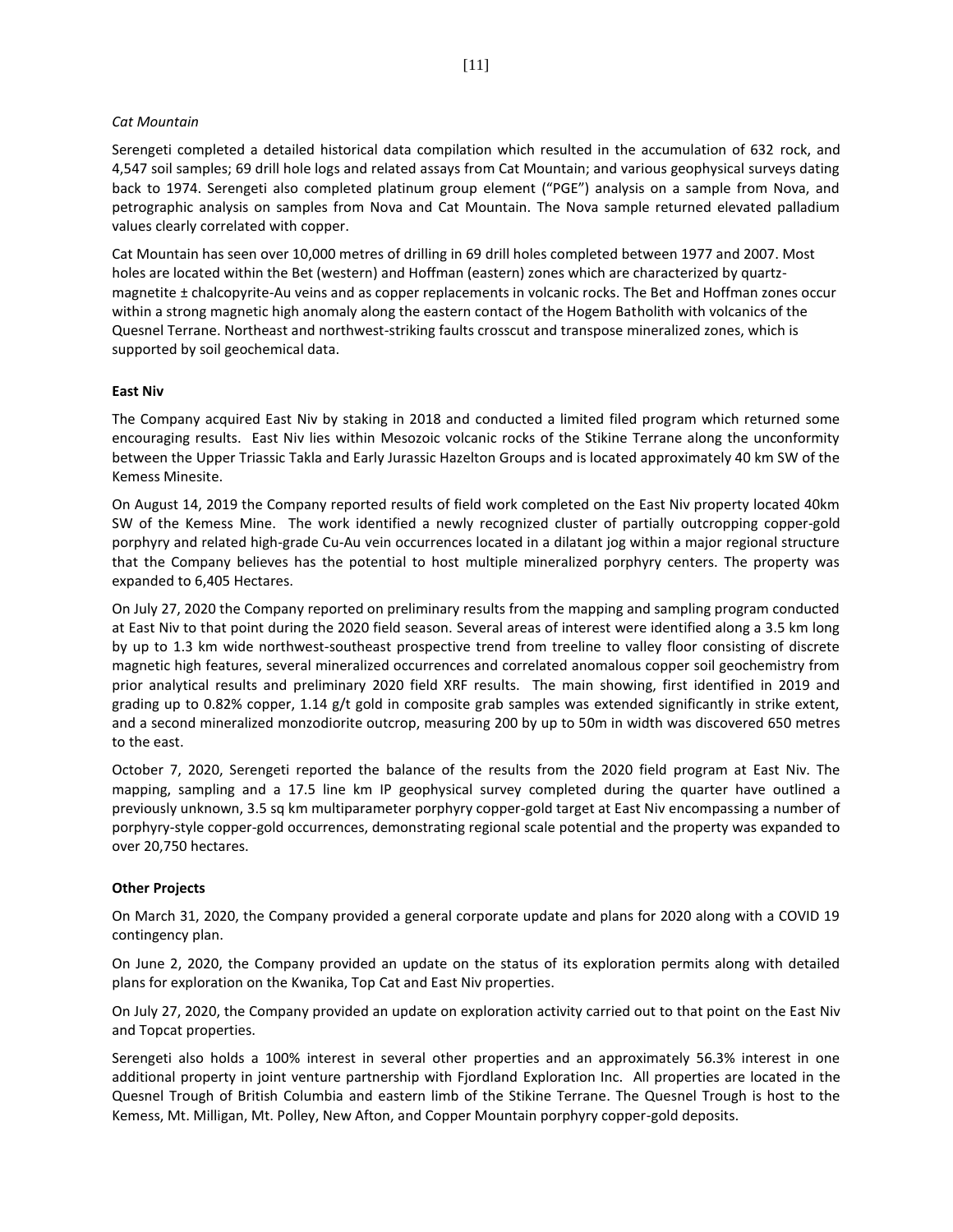#### *Cat Mountain*

Serengeti completed a detailed historical data compilation which resulted in the accumulation of 632 rock, and 4,547 soil samples; 69 drill hole logs and related assays from Cat Mountain; and various geophysical surveys dating back to 1974. Serengeti also completed platinum group element ("PGE") analysis on a sample from Nova, and petrographic analysis on samples from Nova and Cat Mountain. The Nova sample returned elevated palladium values clearly correlated with copper.

Cat Mountain has seen over 10,000 metres of drilling in 69 drill holes completed between 1977 and 2007. Most holes are located within the Bet (western) and Hoffman (eastern) zones which are characterized by quartzmagnetite ± chalcopyrite-Au veins and as copper replacements in volcanic rocks. The Bet and Hoffman zones occur within a strong magnetic high anomaly along the eastern contact of the Hogem Batholith with volcanics of the Quesnel Terrane. Northeast and northwest-striking faults crosscut and transpose mineralized zones, which is supported by soil geochemical data.

#### **East Niv**

The Company acquired East Niv by staking in 2018 and conducted a limited filed program which returned some encouraging results. East Niv lies within Mesozoic volcanic rocks of the Stikine Terrane along the unconformity between the Upper Triassic Takla and Early Jurassic Hazelton Groups and is located approximately 40 km SW of the Kemess Minesite.

On August 14, 2019 the Company reported results of field work completed on the East Niv property located 40km SW of the Kemess Mine. The work identified a newly recognized cluster of partially outcropping copper-gold porphyry and related high-grade Cu-Au vein occurrences located in a dilatant jog within a major regional structure that the Company believes has the potential to host multiple mineralized porphyry centers. The property was expanded to 6,405 Hectares.

On July 27, 2020 the Company reported on preliminary results from the mapping and sampling program conducted at East Niv to that point during the 2020 field season. Several areas of interest were identified along a 3.5 km long by up to 1.3 km wide northwest-southeast prospective trend from treeline to valley floor consisting of discrete magnetic high features, several mineralized occurrences and correlated anomalous copper soil geochemistry from prior analytical results and preliminary 2020 field XRF results. The main showing, first identified in 2019 and grading up to 0.82% copper, 1.14 g/t gold in composite grab samples was extended significantly in strike extent, and a second mineralized monzodiorite outcrop, measuring 200 by up to 50m in width was discovered 650 metres to the east.

October 7, 2020, Serengeti reported the balance of the results from the 2020 field program at East Niv. The mapping, sampling and a 17.5 line km IP geophysical survey completed during the quarter have outlined a previously unknown, 3.5 sq km multiparameter porphyry copper-gold target at East Niv encompassing a number of porphyry-style copper-gold occurrences, demonstrating regional scale potential and the property was expanded to over 20,750 hectares.

#### **Other Projects**

On March 31, 2020, the Company provided a general corporate update and plans for 2020 along with a COVID 19 contingency plan.

On June 2, 2020, the Company provided an update on the status of its exploration permits along with detailed plans for exploration on the Kwanika, Top Cat and East Niv properties.

On July 27, 2020, the Company provided an update on exploration activity carried out to that point on the East Niv and Topcat properties.

Serengeti also holds a 100% interest in several other properties and an approximately 56.3% interest in one additional property in joint venture partnership with Fjordland Exploration Inc. All properties are located in the Quesnel Trough of British Columbia and eastern limb of the Stikine Terrane. The Quesnel Trough is host to the Kemess, Mt. Milligan, Mt. Polley, New Afton, and Copper Mountain porphyry copper-gold deposits.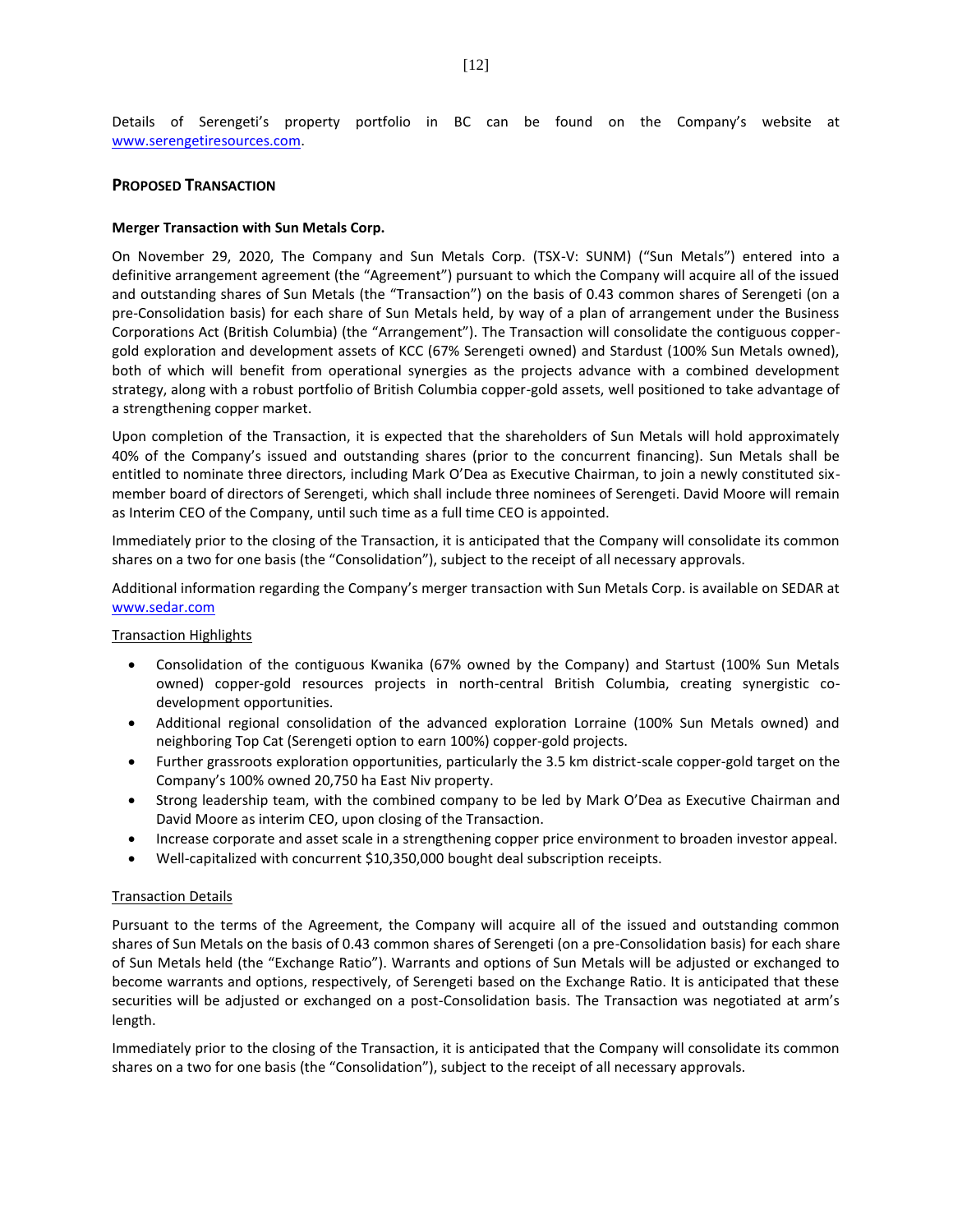Details of Serengeti's property portfolio in BC can be found on the Company's website at [www.serengetiresources.com.](http://www.serengetiresources.com/) 

## **PROPOSED TRANSACTION**

#### **Merger Transaction with Sun Metals Corp.**

On November 29, 2020, The Company and Sun Metals Corp. (TSX-V: SUNM) ("Sun Metals") entered into a definitive arrangement agreement (the "Agreement") pursuant to which the Company will acquire all of the issued and outstanding shares of Sun Metals (the "Transaction") on the basis of 0.43 common shares of Serengeti (on a pre-Consolidation basis) for each share of Sun Metals held, by way of a plan of arrangement under the Business Corporations Act (British Columbia) (the "Arrangement"). The Transaction will consolidate the contiguous coppergold exploration and development assets of KCC (67% Serengeti owned) and Stardust (100% Sun Metals owned), both of which will benefit from operational synergies as the projects advance with a combined development strategy, along with a robust portfolio of British Columbia copper-gold assets, well positioned to take advantage of a strengthening copper market.

Upon completion of the Transaction, it is expected that the shareholders of Sun Metals will hold approximately 40% of the Company's issued and outstanding shares (prior to the concurrent financing). Sun Metals shall be entitled to nominate three directors, including Mark O'Dea as Executive Chairman, to join a newly constituted sixmember board of directors of Serengeti, which shall include three nominees of Serengeti. David Moore will remain as Interim CEO of the Company, until such time as a full time CEO is appointed.

Immediately prior to the closing of the Transaction, it is anticipated that the Company will consolidate its common shares on a two for one basis (the "Consolidation"), subject to the receipt of all necessary approvals.

Additional information regarding the Company's merger transaction with Sun Metals Corp. is available on SEDAR at [www.sedar.com](http://www.sedar.com/)

#### Transaction Highlights

- Consolidation of the contiguous Kwanika (67% owned by the Company) and Startust (100% Sun Metals owned) copper-gold resources projects in north-central British Columbia, creating synergistic codevelopment opportunities.
- Additional regional consolidation of the advanced exploration Lorraine (100% Sun Metals owned) and neighboring Top Cat (Serengeti option to earn 100%) copper-gold projects.
- Further grassroots exploration opportunities, particularly the 3.5 km district-scale copper-gold target on the Company's 100% owned 20,750 ha East Niv property.
- Strong leadership team, with the combined company to be led by Mark O'Dea as Executive Chairman and David Moore as interim CEO, upon closing of the Transaction.
- Increase corporate and asset scale in a strengthening copper price environment to broaden investor appeal.
- Well-capitalized with concurrent \$10,350,000 bought deal subscription receipts.

#### Transaction Details

Pursuant to the terms of the Agreement, the Company will acquire all of the issued and outstanding common shares of Sun Metals on the basis of 0.43 common shares of Serengeti (on a pre-Consolidation basis) for each share of Sun Metals held (the "Exchange Ratio"). Warrants and options of Sun Metals will be adjusted or exchanged to become warrants and options, respectively, of Serengeti based on the Exchange Ratio. It is anticipated that these securities will be adjusted or exchanged on a post-Consolidation basis. The Transaction was negotiated at arm's length.

Immediately prior to the closing of the Transaction, it is anticipated that the Company will consolidate its common shares on a two for one basis (the "Consolidation"), subject to the receipt of all necessary approvals.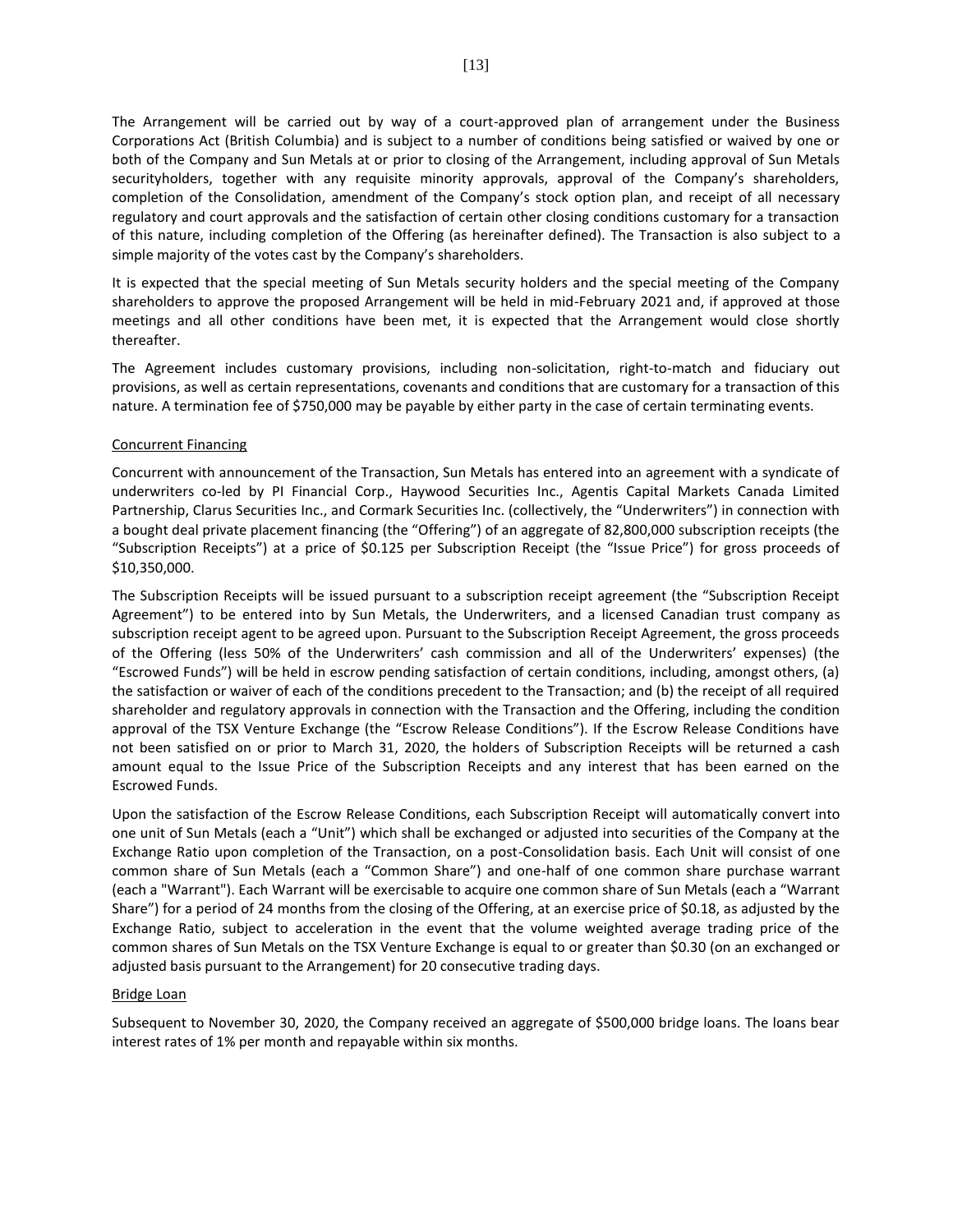The Arrangement will be carried out by way of a court-approved plan of arrangement under the Business Corporations Act (British Columbia) and is subject to a number of conditions being satisfied or waived by one or both of the Company and Sun Metals at or prior to closing of the Arrangement, including approval of Sun Metals securityholders, together with any requisite minority approvals, approval of the Company's shareholders, completion of the Consolidation, amendment of the Company's stock option plan, and receipt of all necessary regulatory and court approvals and the satisfaction of certain other closing conditions customary for a transaction of this nature, including completion of the Offering (as hereinafter defined). The Transaction is also subject to a simple majority of the votes cast by the Company's shareholders.

It is expected that the special meeting of Sun Metals security holders and the special meeting of the Company shareholders to approve the proposed Arrangement will be held in mid-February 2021 and, if approved at those meetings and all other conditions have been met, it is expected that the Arrangement would close shortly thereafter.

The Agreement includes customary provisions, including non-solicitation, right-to-match and fiduciary out provisions, as well as certain representations, covenants and conditions that are customary for a transaction of this nature. A termination fee of \$750,000 may be payable by either party in the case of certain terminating events.

### Concurrent Financing

Concurrent with announcement of the Transaction, Sun Metals has entered into an agreement with a syndicate of underwriters co-led by PI Financial Corp., Haywood Securities Inc., Agentis Capital Markets Canada Limited Partnership, Clarus Securities Inc., and Cormark Securities Inc. (collectively, the "Underwriters") in connection with a bought deal private placement financing (the "Offering") of an aggregate of 82,800,000 subscription receipts (the "Subscription Receipts") at a price of \$0.125 per Subscription Receipt (the "Issue Price") for gross proceeds of \$10,350,000.

The Subscription Receipts will be issued pursuant to a subscription receipt agreement (the "Subscription Receipt Agreement") to be entered into by Sun Metals, the Underwriters, and a licensed Canadian trust company as subscription receipt agent to be agreed upon. Pursuant to the Subscription Receipt Agreement, the gross proceeds of the Offering (less 50% of the Underwriters' cash commission and all of the Underwriters' expenses) (the "Escrowed Funds") will be held in escrow pending satisfaction of certain conditions, including, amongst others, (a) the satisfaction or waiver of each of the conditions precedent to the Transaction; and (b) the receipt of all required shareholder and regulatory approvals in connection with the Transaction and the Offering, including the condition approval of the TSX Venture Exchange (the "Escrow Release Conditions"). If the Escrow Release Conditions have not been satisfied on or prior to March 31, 2020, the holders of Subscription Receipts will be returned a cash amount equal to the Issue Price of the Subscription Receipts and any interest that has been earned on the Escrowed Funds.

Upon the satisfaction of the Escrow Release Conditions, each Subscription Receipt will automatically convert into one unit of Sun Metals (each a "Unit") which shall be exchanged or adjusted into securities of the Company at the Exchange Ratio upon completion of the Transaction, on a post-Consolidation basis. Each Unit will consist of one common share of Sun Metals (each a "Common Share") and one-half of one common share purchase warrant (each a "Warrant"). Each Warrant will be exercisable to acquire one common share of Sun Metals (each a "Warrant Share") for a period of 24 months from the closing of the Offering, at an exercise price of \$0.18, as adjusted by the Exchange Ratio, subject to acceleration in the event that the volume weighted average trading price of the common shares of Sun Metals on the TSX Venture Exchange is equal to or greater than \$0.30 (on an exchanged or adjusted basis pursuant to the Arrangement) for 20 consecutive trading days.

#### Bridge Loan

Subsequent to November 30, 2020, the Company received an aggregate of \$500,000 bridge loans. The loans bear interest rates of 1% per month and repayable within six months.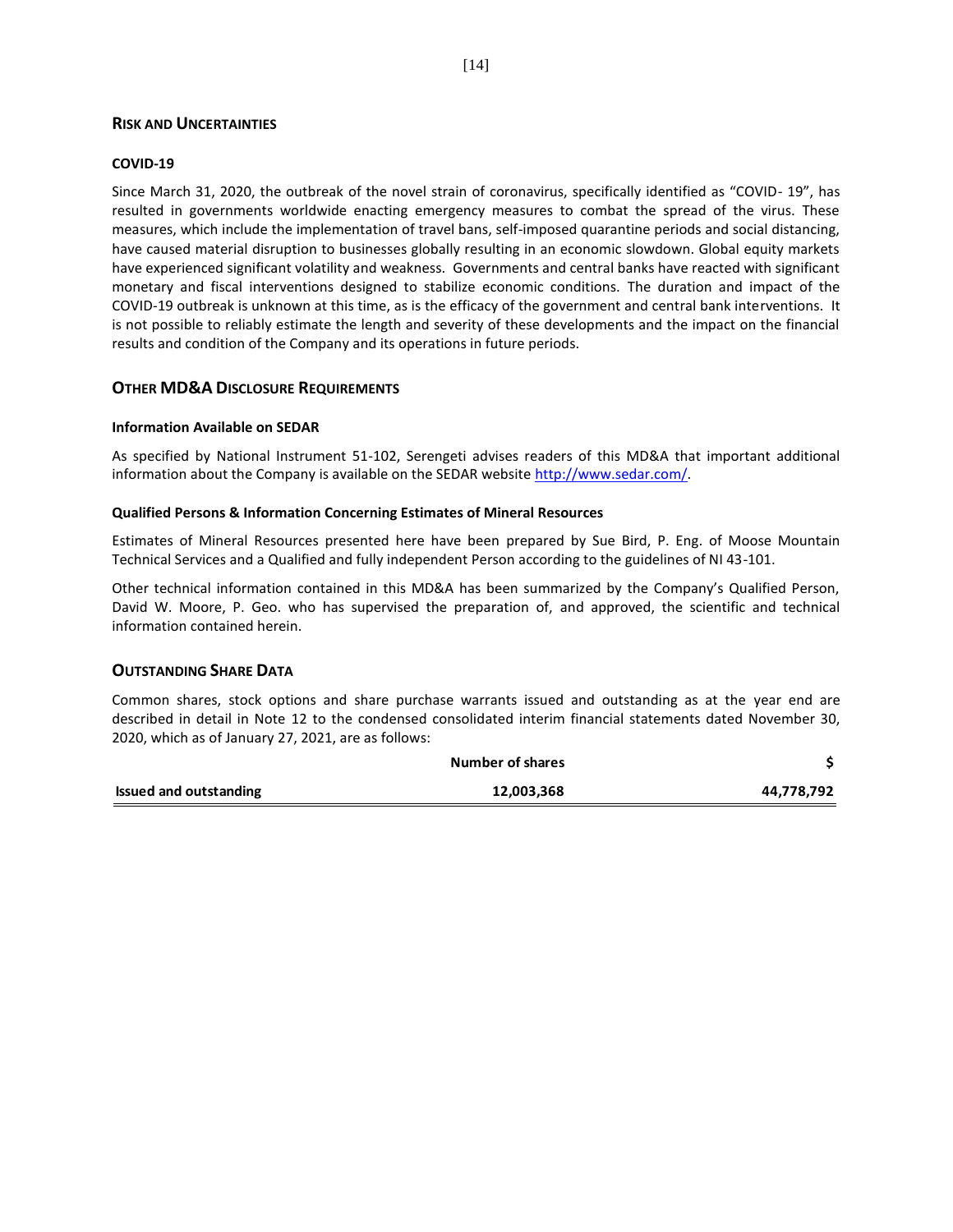## **RISK AND UNCERTAINTIES**

## **COVID-19**

Since March 31, 2020, the outbreak of the novel strain of coronavirus, specifically identified as "COVID- 19", has resulted in governments worldwide enacting emergency measures to combat the spread of the virus. These measures, which include the implementation of travel bans, self-imposed quarantine periods and social distancing, have caused material disruption to businesses globally resulting in an economic slowdown. Global equity markets have experienced significant volatility and weakness. Governments and central banks have reacted with significant monetary and fiscal interventions designed to stabilize economic conditions. The duration and impact of the COVID-19 outbreak is unknown at this time, as is the efficacy of the government and central bank interventions. It is not possible to reliably estimate the length and severity of these developments and the impact on the financial results and condition of the Company and its operations in future periods.

## **OTHER MD&A DISCLOSURE REQUIREMENTS**

#### **Information Available on SEDAR**

As specified by National Instrument 51-102, Serengeti advises readers of this MD&A that important additional information about the Company is available on the SEDAR website [http://www.sedar.com/.](about:blank)

#### **Qualified Persons & Information Concerning Estimates of Mineral Resources**

Estimates of Mineral Resources presented here have been prepared by Sue Bird, P. Eng. of Moose Mountain Technical Services and a Qualified and fully independent Person according to the guidelines of NI 43-101.

Other technical information contained in this MD&A has been summarized by the Company's Qualified Person, David W. Moore, P. Geo. who has supervised the preparation of, and approved, the scientific and technical information contained herein.

#### **OUTSTANDING SHARE DATA**

Common shares, stock options and share purchase warrants issued and outstanding as at the year end are described in detail in Note 12 to the condensed consolidated interim financial statements dated November 30, 2020, which as of January 27, 2021, are as follows:

|                               | Number of shares |            |
|-------------------------------|------------------|------------|
| <b>Issued and outstanding</b> | 12,003,368       | 44,778,792 |